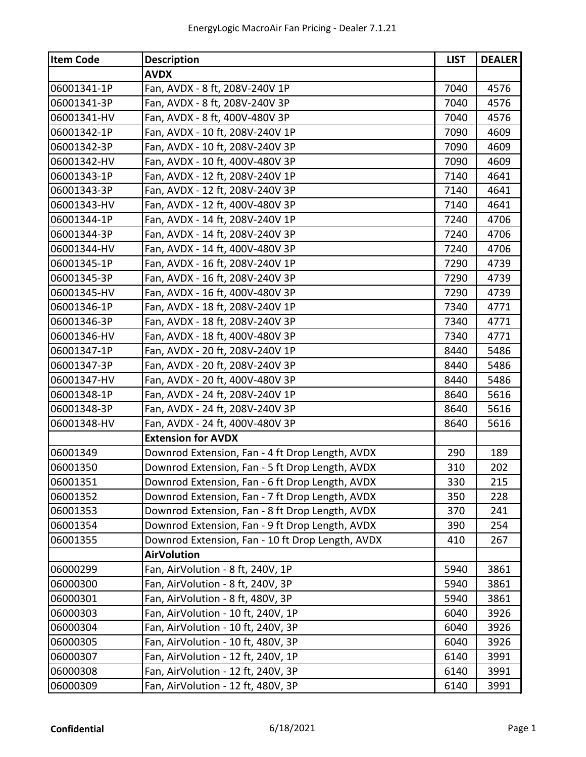| <b>Item Code</b> | <b>Description</b>                               | <b>LIST</b> | <b>DEALER</b> |
|------------------|--------------------------------------------------|-------------|---------------|
|                  | <b>AVDX</b>                                      |             |               |
| 06001341-1P      | Fan, AVDX - 8 ft, 208V-240V 1P                   | 7040        | 4576          |
| 06001341-3P      | Fan, AVDX - 8 ft, 208V-240V 3P                   | 7040        | 4576          |
| 06001341-HV      | Fan, AVDX - 8 ft, 400V-480V 3P                   | 7040        | 4576          |
| 06001342-1P      | Fan, AVDX - 10 ft, 208V-240V 1P                  | 7090        | 4609          |
| 06001342-3P      | Fan, AVDX - 10 ft, 208V-240V 3P                  | 7090        | 4609          |
| 06001342-HV      | Fan, AVDX - 10 ft, 400V-480V 3P                  | 7090        | 4609          |
| 06001343-1P      | Fan, AVDX - 12 ft, 208V-240V 1P                  | 7140        | 4641          |
| 06001343-3P      | Fan, AVDX - 12 ft, 208V-240V 3P                  | 7140        | 4641          |
| 06001343-HV      | Fan, AVDX - 12 ft, 400V-480V 3P                  | 7140        | 4641          |
| 06001344-1P      | Fan, AVDX - 14 ft, 208V-240V 1P                  | 7240        | 4706          |
| 06001344-3P      | Fan, AVDX - 14 ft, 208V-240V 3P                  | 7240        | 4706          |
| 06001344-HV      | Fan, AVDX - 14 ft, 400V-480V 3P                  | 7240        | 4706          |
| 06001345-1P      | Fan, AVDX - 16 ft, 208V-240V 1P                  | 7290        | 4739          |
| 06001345-3P      | Fan, AVDX - 16 ft, 208V-240V 3P                  | 7290        | 4739          |
| 06001345-HV      | Fan, AVDX - 16 ft, 400V-480V 3P                  | 7290        | 4739          |
| 06001346-1P      | Fan, AVDX - 18 ft, 208V-240V 1P                  | 7340        | 4771          |
| 06001346-3P      | Fan, AVDX - 18 ft, 208V-240V 3P                  | 7340        | 4771          |
| 06001346-HV      | Fan, AVDX - 18 ft, 400V-480V 3P                  | 7340        | 4771          |
| 06001347-1P      | Fan, AVDX - 20 ft, 208V-240V 1P                  | 8440        | 5486          |
| 06001347-3P      | Fan, AVDX - 20 ft, 208V-240V 3P                  | 8440        | 5486          |
| 06001347-HV      | Fan, AVDX - 20 ft, 400V-480V 3P                  | 8440        | 5486          |
| 06001348-1P      | Fan, AVDX - 24 ft, 208V-240V 1P                  | 8640        | 5616          |
| 06001348-3P      | Fan, AVDX - 24 ft, 208V-240V 3P                  | 8640        | 5616          |
| 06001348-HV      | Fan, AVDX - 24 ft, 400V-480V 3P                  | 8640        | 5616          |
|                  | <b>Extension for AVDX</b>                        |             |               |
| 06001349         | Downrod Extension, Fan - 4 ft Drop Length, AVDX  | 290         | 189           |
| 06001350         | Downrod Extension, Fan - 5 ft Drop Length, AVDX  | 310         | 202           |
| 06001351         | Downrod Extension, Fan - 6 ft Drop Length, AVDX  | 330         | 215           |
| 06001352         | Downrod Extension, Fan - 7 ft Drop Length, AVDX  | 350         | 228           |
| 06001353         | Downrod Extension, Fan - 8 ft Drop Length, AVDX  | 370         | 241           |
| 06001354         | Downrod Extension, Fan - 9 ft Drop Length, AVDX  | 390         | 254           |
| 06001355         | Downrod Extension, Fan - 10 ft Drop Length, AVDX | 410         | 267           |
|                  | <b>AirVolution</b>                               |             |               |
| 06000299         | Fan, AirVolution - 8 ft, 240V, 1P                | 5940        | 3861          |
| 06000300         | Fan, AirVolution - 8 ft, 240V, 3P                | 5940        | 3861          |
| 06000301         | Fan, AirVolution - 8 ft, 480V, 3P                | 5940        | 3861          |
| 06000303         | Fan, AirVolution - 10 ft, 240V, 1P               | 6040        | 3926          |
| 06000304         | Fan, AirVolution - 10 ft, 240V, 3P               | 6040        | 3926          |
| 06000305         | Fan, AirVolution - 10 ft, 480V, 3P               | 6040        | 3926          |
| 06000307         | Fan, AirVolution - 12 ft, 240V, 1P               | 6140        | 3991          |
| 06000308         | Fan, AirVolution - 12 ft, 240V, 3P               | 6140        | 3991          |
| 06000309         | Fan, AirVolution - 12 ft, 480V, 3P               | 6140        | 3991          |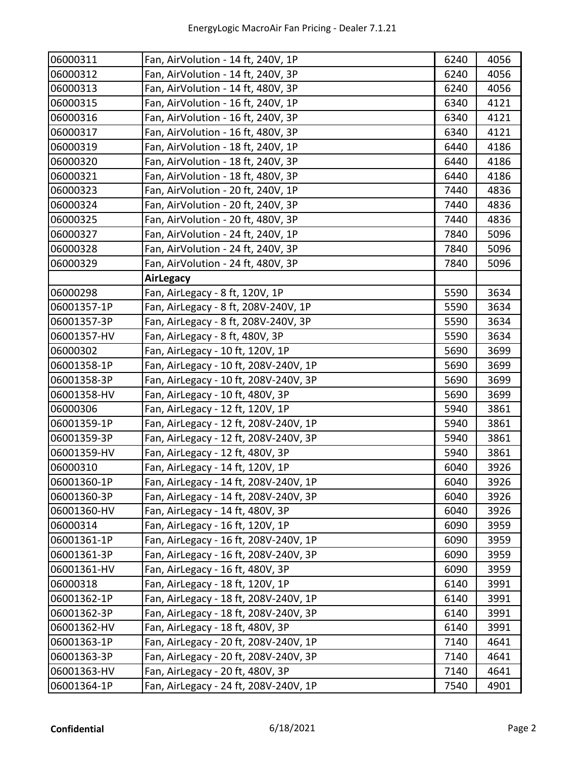| 06000311    | Fan, AirVolution - 14 ft, 240V, 1P    | 6240 | 4056 |
|-------------|---------------------------------------|------|------|
| 06000312    | Fan, AirVolution - 14 ft, 240V, 3P    | 6240 | 4056 |
| 06000313    | Fan, AirVolution - 14 ft, 480V, 3P    | 6240 | 4056 |
| 06000315    | Fan, AirVolution - 16 ft, 240V, 1P    | 6340 | 4121 |
| 06000316    | Fan, AirVolution - 16 ft, 240V, 3P    | 6340 | 4121 |
| 06000317    | Fan, AirVolution - 16 ft, 480V, 3P    | 6340 | 4121 |
| 06000319    | Fan, AirVolution - 18 ft, 240V, 1P    | 6440 | 4186 |
| 06000320    | Fan, AirVolution - 18 ft, 240V, 3P    | 6440 | 4186 |
| 06000321    | Fan, AirVolution - 18 ft, 480V, 3P    | 6440 | 4186 |
| 06000323    | Fan, AirVolution - 20 ft, 240V, 1P    | 7440 | 4836 |
| 06000324    | Fan, AirVolution - 20 ft, 240V, 3P    | 7440 | 4836 |
| 06000325    | Fan, AirVolution - 20 ft, 480V, 3P    | 7440 | 4836 |
| 06000327    | Fan, AirVolution - 24 ft, 240V, 1P    | 7840 | 5096 |
| 06000328    | Fan, AirVolution - 24 ft, 240V, 3P    | 7840 | 5096 |
| 06000329    | Fan, AirVolution - 24 ft, 480V, 3P    | 7840 | 5096 |
|             | <b>AirLegacy</b>                      |      |      |
| 06000298    | Fan, AirLegacy - 8 ft, 120V, 1P       | 5590 | 3634 |
| 06001357-1P | Fan, AirLegacy - 8 ft, 208V-240V, 1P  | 5590 | 3634 |
| 06001357-3P | Fan, AirLegacy - 8 ft, 208V-240V, 3P  | 5590 | 3634 |
| 06001357-HV | Fan, AirLegacy - 8 ft, 480V, 3P       | 5590 | 3634 |
| 06000302    | Fan, AirLegacy - 10 ft, 120V, 1P      | 5690 | 3699 |
| 06001358-1P | Fan, AirLegacy - 10 ft, 208V-240V, 1P | 5690 | 3699 |
| 06001358-3P | Fan, AirLegacy - 10 ft, 208V-240V, 3P | 5690 | 3699 |
| 06001358-HV | Fan, AirLegacy - 10 ft, 480V, 3P      | 5690 | 3699 |
| 06000306    | Fan, AirLegacy - 12 ft, 120V, 1P      | 5940 | 3861 |
| 06001359-1P | Fan, AirLegacy - 12 ft, 208V-240V, 1P | 5940 | 3861 |
| 06001359-3P | Fan, AirLegacy - 12 ft, 208V-240V, 3P | 5940 | 3861 |
| 06001359-HV | Fan, AirLegacy - 12 ft, 480V, 3P      | 5940 | 3861 |
| 06000310    | Fan, AirLegacy - 14 ft, 120V, 1P      | 6040 | 3926 |
| 06001360-1P | Fan, AirLegacy - 14 ft, 208V-240V, 1P | 6040 | 3926 |
| 06001360-3P | Fan, AirLegacy - 14 ft, 208V-240V, 3P | 6040 | 3926 |
| 06001360-HV | Fan, AirLegacy - 14 ft, 480V, 3P      | 6040 | 3926 |
| 06000314    | Fan, AirLegacy - 16 ft, 120V, 1P      | 6090 | 3959 |
| 06001361-1P | Fan, AirLegacy - 16 ft, 208V-240V, 1P | 6090 | 3959 |
| 06001361-3P | Fan, AirLegacy - 16 ft, 208V-240V, 3P | 6090 | 3959 |
| 06001361-HV | Fan, AirLegacy - 16 ft, 480V, 3P      | 6090 | 3959 |
| 06000318    | Fan, AirLegacy - 18 ft, 120V, 1P      | 6140 | 3991 |
| 06001362-1P | Fan, AirLegacy - 18 ft, 208V-240V, 1P | 6140 | 3991 |
| 06001362-3P | Fan, AirLegacy - 18 ft, 208V-240V, 3P | 6140 | 3991 |
| 06001362-HV | Fan, AirLegacy - 18 ft, 480V, 3P      | 6140 | 3991 |
| 06001363-1P | Fan, AirLegacy - 20 ft, 208V-240V, 1P | 7140 | 4641 |
| 06001363-3P | Fan, AirLegacy - 20 ft, 208V-240V, 3P | 7140 | 4641 |
| 06001363-HV | Fan, AirLegacy - 20 ft, 480V, 3P      | 7140 | 4641 |
| 06001364-1P | Fan, AirLegacy - 24 ft, 208V-240V, 1P | 7540 | 4901 |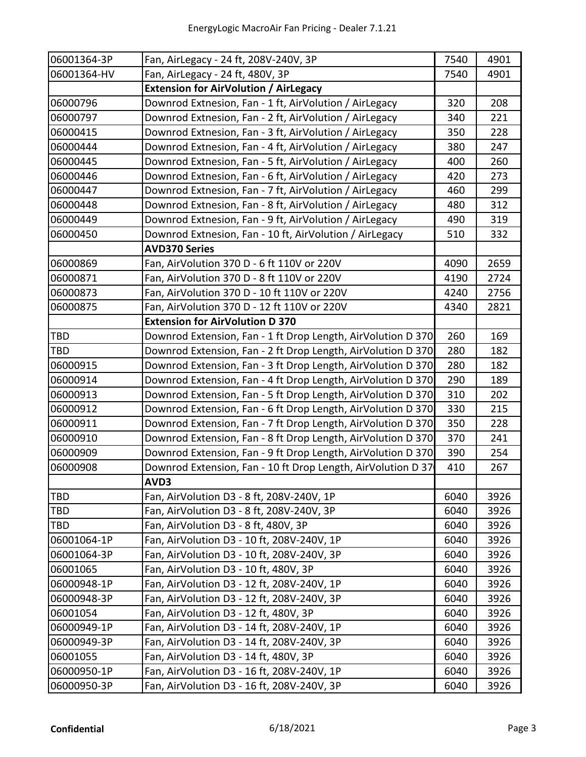| 06001364-3P | Fan, AirLegacy - 24 ft, 208V-240V, 3P                        | 7540 | 4901 |
|-------------|--------------------------------------------------------------|------|------|
| 06001364-HV | Fan, AirLegacy - 24 ft, 480V, 3P                             | 7540 | 4901 |
|             | <b>Extension for AirVolution / AirLegacy</b>                 |      |      |
| 06000796    | Downrod Extnesion, Fan - 1 ft, AirVolution / AirLegacy       | 320  | 208  |
| 06000797    | Downrod Extnesion, Fan - 2 ft, AirVolution / AirLegacy       | 340  | 221  |
| 06000415    | Downrod Extnesion, Fan - 3 ft, AirVolution / AirLegacy       | 350  | 228  |
| 06000444    | Downrod Extnesion, Fan - 4 ft, AirVolution / AirLegacy       | 380  | 247  |
| 06000445    | Downrod Extnesion, Fan - 5 ft, AirVolution / AirLegacy       | 400  | 260  |
| 06000446    | Downrod Extnesion, Fan - 6 ft, AirVolution / AirLegacy       | 420  | 273  |
| 06000447    | Downrod Extnesion, Fan - 7 ft, AirVolution / AirLegacy       | 460  | 299  |
| 06000448    | Downrod Extnesion, Fan - 8 ft, AirVolution / AirLegacy       | 480  | 312  |
| 06000449    | Downrod Extnesion, Fan - 9 ft, AirVolution / AirLegacy       | 490  | 319  |
| 06000450    | Downrod Extnesion, Fan - 10 ft, AirVolution / AirLegacy      | 510  | 332  |
|             | <b>AVD370 Series</b>                                         |      |      |
| 06000869    | Fan, AirVolution 370 D - 6 ft 110V or 220V                   | 4090 | 2659 |
| 06000871    | Fan, AirVolution 370 D - 8 ft 110V or 220V                   | 4190 | 2724 |
| 06000873    | Fan, AirVolution 370 D - 10 ft 110V or 220V                  | 4240 | 2756 |
| 06000875    | Fan, AirVolution 370 D - 12 ft 110V or 220V                  | 4340 | 2821 |
|             | <b>Extension for AirVolution D 370</b>                       |      |      |
| TBD         | Downrod Extension, Fan - 1 ft Drop Length, AirVolution D 370 | 260  | 169  |
| <b>TBD</b>  | Downrod Extension, Fan - 2 ft Drop Length, AirVolution D 370 | 280  | 182  |
| 06000915    | Downrod Extension, Fan - 3 ft Drop Length, AirVolution D 370 | 280  | 182  |
| 06000914    | Downrod Extension, Fan - 4 ft Drop Length, AirVolution D 370 | 290  | 189  |
| 06000913    | Downrod Extension, Fan - 5 ft Drop Length, AirVolution D 370 | 310  | 202  |
| 06000912    | Downrod Extension, Fan - 6 ft Drop Length, AirVolution D 370 | 330  | 215  |
| 06000911    | Downrod Extension, Fan - 7 ft Drop Length, AirVolution D 370 | 350  | 228  |
| 06000910    | Downrod Extension, Fan - 8 ft Drop Length, AirVolution D 370 | 370  | 241  |
| 06000909    | Downrod Extension, Fan - 9 ft Drop Length, AirVolution D 370 | 390  | 254  |
| 06000908    | Downrod Extension, Fan - 10 ft Drop Length, AirVolution D 37 | 410  | 267  |
|             | AVD3                                                         |      |      |
| <b>TBD</b>  | Fan, AirVolution D3 - 8 ft, 208V-240V, 1P                    | 6040 | 3926 |
| <b>TBD</b>  | Fan, AirVolution D3 - 8 ft, 208V-240V, 3P                    | 6040 | 3926 |
| <b>TBD</b>  | Fan, AirVolution D3 - 8 ft, 480V, 3P                         | 6040 | 3926 |
| 06001064-1P | Fan, AirVolution D3 - 10 ft, 208V-240V, 1P                   | 6040 | 3926 |
| 06001064-3P | Fan, AirVolution D3 - 10 ft, 208V-240V, 3P                   | 6040 | 3926 |
| 06001065    | Fan, AirVolution D3 - 10 ft, 480V, 3P                        | 6040 | 3926 |
| 06000948-1P | Fan, AirVolution D3 - 12 ft, 208V-240V, 1P                   | 6040 | 3926 |
| 06000948-3P | Fan, AirVolution D3 - 12 ft, 208V-240V, 3P                   | 6040 | 3926 |
| 06001054    | Fan, AirVolution D3 - 12 ft, 480V, 3P                        | 6040 | 3926 |
| 06000949-1P | Fan, AirVolution D3 - 14 ft, 208V-240V, 1P                   | 6040 | 3926 |
| 06000949-3P | Fan, AirVolution D3 - 14 ft, 208V-240V, 3P                   | 6040 | 3926 |
| 06001055    | Fan, AirVolution D3 - 14 ft, 480V, 3P                        | 6040 | 3926 |
| 06000950-1P | Fan, AirVolution D3 - 16 ft, 208V-240V, 1P                   | 6040 | 3926 |
| 06000950-3P | Fan, AirVolution D3 - 16 ft, 208V-240V, 3P                   | 6040 | 3926 |